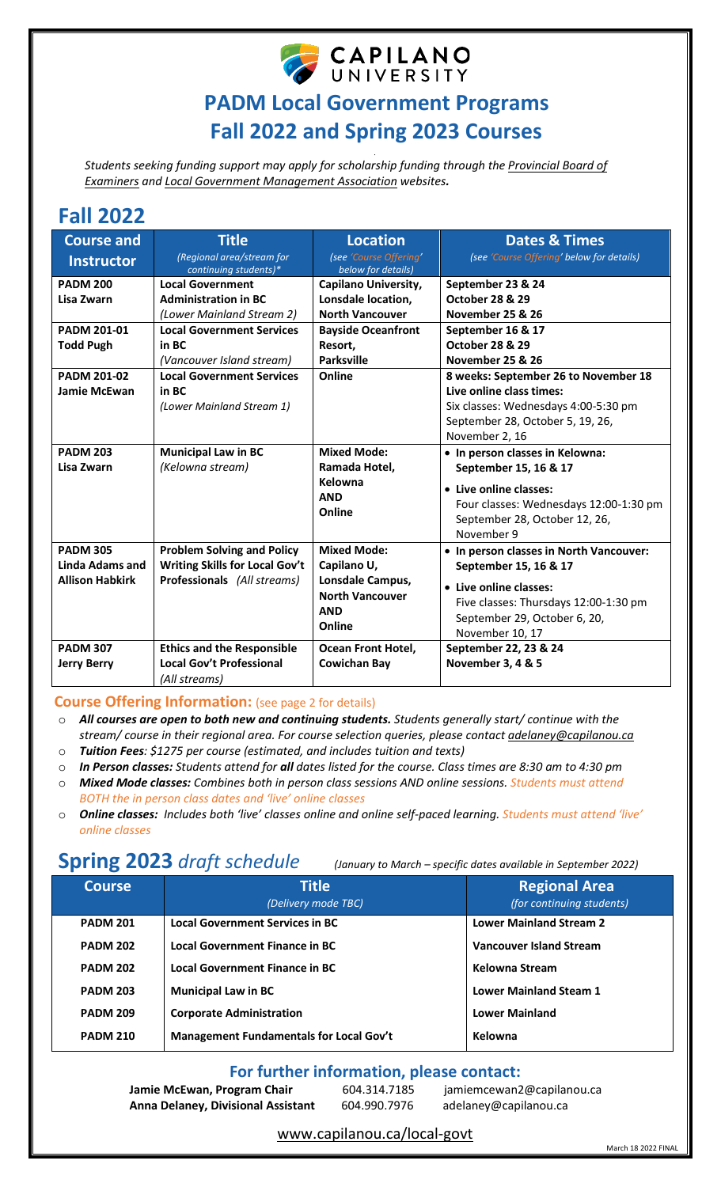

# **PADM Local Government Programs Fall 2022 and Spring 2023 Courses**

*. Students seeking funding support may apply for scholarship funding through th[e Provincial Board of](https://www2.gov.bc.ca/gov/content/governments/local-governments/governance-powers/councils-boards/officers-employees/learning?keyword=board&keyword=of&keyword=examiners)  [Examiners](https://www2.gov.bc.ca/gov/content/governments/local-governments/governance-powers/councils-boards/officers-employees/learning?keyword=board&keyword=of&keyword=examiners) and [Local Government Management Association](https://www.lgma.ca/scholarships) websites.* 

# **Fall 2022**

| <b>Course and</b>      | <b>Title</b>                                       | <b>Location</b>                                                    | <b>Dates &amp; Times</b>                                                                                           |
|------------------------|----------------------------------------------------|--------------------------------------------------------------------|--------------------------------------------------------------------------------------------------------------------|
| <b>Instructor</b>      | (Regional area/stream for<br>continuing students)* | (see 'Course Offering'<br>below for details)                       | (see 'Course Offering' below for details)                                                                          |
| <b>PADM 200</b>        | <b>Local Government</b>                            | <b>Capilano University,</b>                                        | September 23 & 24                                                                                                  |
| Lisa Zwarn             | <b>Administration in BC</b>                        | Lonsdale location,                                                 | <b>October 28 &amp; 29</b>                                                                                         |
|                        | (Lower Mainland Stream 2)                          | <b>North Vancouver</b>                                             | November 25 & 26                                                                                                   |
| <b>PADM 201-01</b>     | <b>Local Government Services</b>                   | <b>Bayside Oceanfront</b>                                          | September 16 & 17                                                                                                  |
| <b>Todd Pugh</b>       | in BC                                              | Resort,                                                            | <b>October 28 &amp; 29</b>                                                                                         |
|                        | (Vancouver Island stream)                          | <b>Parksville</b>                                                  | <b>November 25 &amp; 26</b>                                                                                        |
| <b>PADM 201-02</b>     | <b>Local Government Services</b>                   | Online                                                             | 8 weeks: September 26 to November 18                                                                               |
| <b>Jamie McEwan</b>    | in BC                                              |                                                                    | Live online class times:                                                                                           |
|                        | (Lower Mainland Stream 1)                          |                                                                    | Six classes: Wednesdays 4:00-5:30 pm                                                                               |
|                        |                                                    |                                                                    | September 28, October 5, 19, 26,                                                                                   |
|                        |                                                    |                                                                    | November 2, 16                                                                                                     |
| <b>PADM 203</b>        | <b>Municipal Law in BC</b>                         | <b>Mixed Mode:</b>                                                 | • In person classes in Kelowna:                                                                                    |
| Lisa Zwarn             | (Kelowna stream)                                   | Ramada Hotel,                                                      | September 15, 16 & 17                                                                                              |
|                        |                                                    | Kelowna<br><b>AND</b><br>Online                                    | • Live online classes:<br>Four classes: Wednesdays 12:00-1:30 pm<br>September 28, October 12, 26,<br>November 9    |
| <b>PADM 305</b>        | <b>Problem Solving and Policy</b>                  | <b>Mixed Mode:</b>                                                 | • In person classes in North Vancouver:                                                                            |
| Linda Adams and        | <b>Writing Skills for Local Gov't</b>              | Capilano U,                                                        | September 15, 16 & 17                                                                                              |
| <b>Allison Habkirk</b> | Professionals (All streams)                        | Lonsdale Campus,<br><b>North Vancouver</b><br><b>AND</b><br>Online | • Live online classes:<br>Five classes: Thursdays 12:00-1:30 pm<br>September 29, October 6, 20,<br>November 10, 17 |
| <b>PADM 307</b>        | <b>Ethics and the Responsible</b>                  | <b>Ocean Front Hotel,</b>                                          | September 22, 23 & 24                                                                                              |
| <b>Jerry Berry</b>     | <b>Local Gov't Professional</b>                    | <b>Cowichan Bay</b>                                                | November 3, 4 & 5                                                                                                  |
|                        | (All streams)                                      |                                                                    |                                                                                                                    |

## **Course Offering Information:** (see page 2 for details)

- o *Tuition Fees: \$1275 per course (estimated, and includes tuition and texts)*
- o *In Person classes: Students attend for all dates listed for the course. Class times are 8:30 am to 4:30 pm*
- o *Mixed Mode classes: Combines both in person class sessions AND online sessions. Students must attend BOTH the in person class dates and 'live' online classes*
- **Online classes:** *Includes both 'live' classes online and online self-paced learning. Students must attend 'live' online classes*

# **Spring 2023** *draft schedule (January to March – specific dates available in September 2022)*

| <b>Course</b>   | <b>Title</b><br>(Delivery mode TBC)            | <b>Regional Area</b><br>(for continuing students) |
|-----------------|------------------------------------------------|---------------------------------------------------|
| <b>PADM 201</b> | <b>Local Government Services in BC</b>         | <b>Lower Mainland Stream 2</b>                    |
| <b>PADM 202</b> | <b>Local Government Finance in BC</b>          | <b>Vancouver Island Stream</b>                    |
| <b>PADM 202</b> | Local Government Finance in BC                 | Kelowna Stream                                    |
| <b>PADM 203</b> | <b>Municipal Law in BC</b>                     | <b>Lower Mainland Steam 1</b>                     |
| <b>PADM 209</b> | <b>Corporate Administration</b>                | <b>Lower Mainland</b>                             |
| <b>PADM 210</b> | <b>Management Fundamentals for Local Gov't</b> | Kelowna                                           |

# **For further information, please contact:**

**Jamie McEwan, Program Chair** 604.314.7185 jamiemcewan2@capilanou.ca<br>**Anna Delaney, Divisional Assistant** 604.990.7976 adelaney@capilanou.ca  **Anna Delaney, Divisional Assistant** 604.990.7976 [adelaney@capilanou.ca](mailto:adelaney@capilanou.ca)

[www.capilanou.ca/local-govt](http://www.capilanou.ca/local-govt) 

o *All courses are open to both new and continuing students. Students generally start/ continue with the stream/ course in their regional area. For course selection queries, please contact [adelaney@capilanou.ca](mailto:adelaney@capilanou.ca)*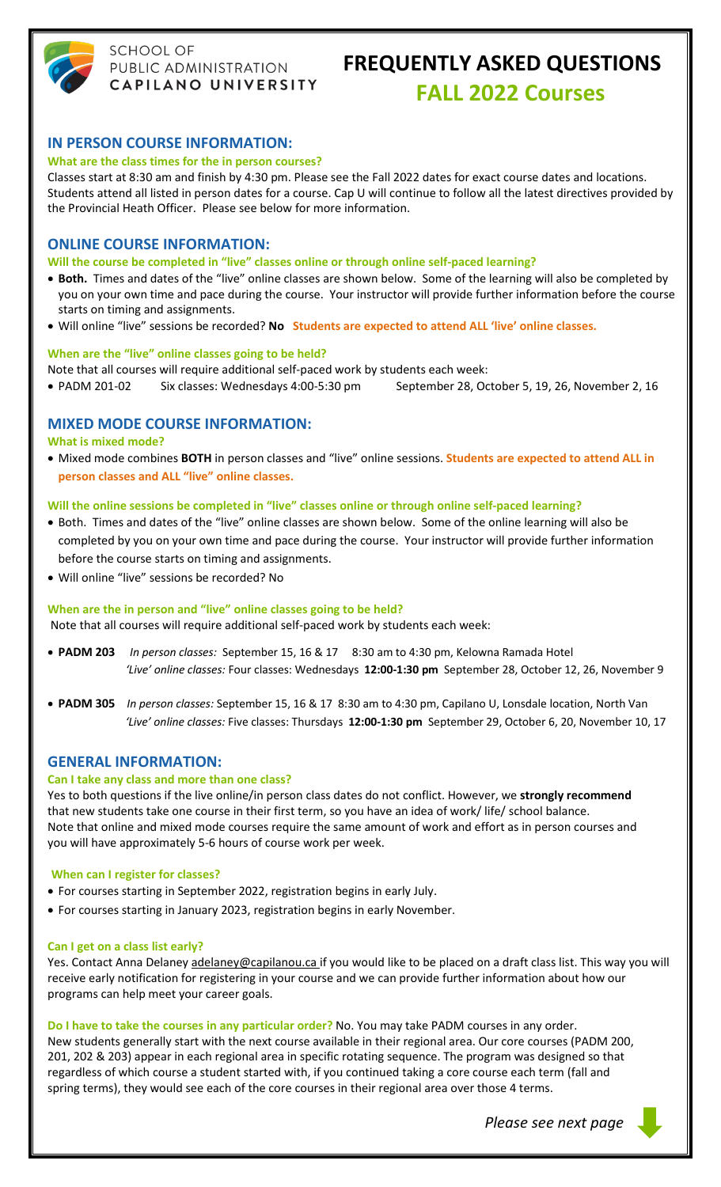

# **SCHOOL OF** PUBLIC ADMINISTRATION CAPILANO UNIVERSITY

# **FREQUENTLY ASKED QUESTIONS FALL 2022 Courses**

## **IN PERSON COURSE INFORMATION:**

#### **What are the class times for the in person courses?**

Classes start at 8:30 am and finish by 4:30 pm. Please see the Fall 2022 dates for exact course dates and locations. Students attend all listed in person dates for a course. Cap U will continue to follow all the latest directives provided by the Provincial Heath Officer. Please see below for more information.

### **ONLINE COURSE INFORMATION:**

**Will the course be completed in "live" classes online or through online self-paced learning?**

- **Both.** Times and dates of the "live" online classes are shown below. Some of the learning will also be completed by you on your own time and pace during the course. Your instructor will provide further information before the course starts on timing and assignments.
- Will online "live" sessions be recorded? **No Students are expected to attend ALL 'live' online classes.**

#### **When are the "live" online classes going to be held?**

Note that all courses will require additional self-paced work by students each week:

• PADM 201-02 Six classes: Wednesdays 4:00-5:30 pm September 28, October 5, 19, 26, November 2, 16

## **MIXED MODE COURSE INFORMATION:**

**What is mixed mode?** 

• Mixed mode combines **BOTH** in person classes and "live" online sessions. **Students are expected to attend ALL in person classes and ALL "live" online classes.**

#### **Will the online sessions be completed in "live" classes online or through online self-paced learning?**

- Both. Times and dates of the "live" online classes are shown below. Some of the online learning will also be completed by you on your own time and pace during the course. Your instructor will provide further information before the course starts on timing and assignments.
- Will online "live" sessions be recorded? No

#### **When are the in person and "live" online classes going to be held?**

Note that all courses will require additional self-paced work by students each week:

- **PADM 203** *In person classes:* September 15, 16 & 17 8:30 am to 4:30 pm, Kelowna Ramada Hotel *'Live' online classes:* Four classes: Wednesdays **12:00-1:30 pm** September 28, October 12, 26, November 9
- **PADM 305** *In person classes:* September 15, 16 & 17 8:30 am to 4:30 pm, Capilano U, Lonsdale location, North Van  *'Live' online classes:* Five classes: Thursdays **12:00-1:30 pm** September 29, October 6, 20, November 10, 17

#### **GENERAL INFORMATION:**

#### **Can I take any class and more than one class?**

Yes to both questions if the live online/in person class dates do not conflict. However, we **strongly recommend** that new students take one course in their first term, so you have an idea of work/ life/ school balance. Note that online and mixed mode courses require the same amount of work and effort as in person courses and you will have approximately 5-6 hours of course work per week.

#### **When can I register for classes?**

- For courses starting in September 2022, registration begins in early July.
- For courses starting in January 2023, registration begins in early November.

#### **Can I get on a class list early?**

Yes. Contact Anna Delane[y adelaney@capilanou.ca](mailto:adelaney@capilanou.ca) if you would like to be placed on a draft class list. This way you will receive early notification for registering in your course and we can provide further information about how our programs can help meet your career goals.

#### **Do I have to take the courses in any particular order?** No. You may take PADM courses in any order.

New students generally start with the next course available in their regional area. Our core courses (PADM 200, 201, 202 & 203) appear in each regional area in specific rotating sequence. The program was designed so that regardless of which course a student started with, if you continued taking a core course each term (fall and spring terms), they would see each of the core courses in their regional area over those 4 terms.